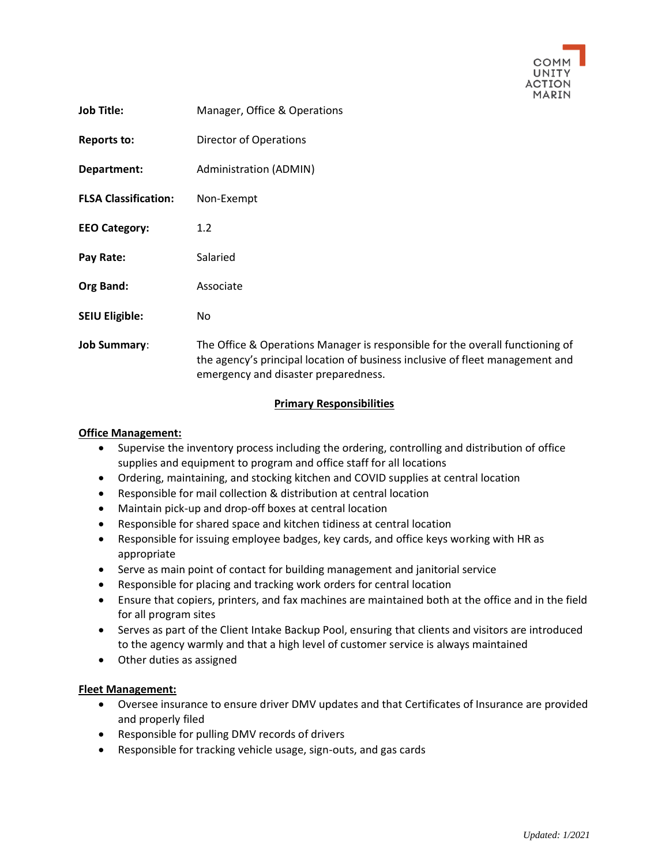

| <b>Job Title:</b>           | Manager, Office & Operations                                                                                                                                                                           |
|-----------------------------|--------------------------------------------------------------------------------------------------------------------------------------------------------------------------------------------------------|
| <b>Reports to:</b>          | Director of Operations                                                                                                                                                                                 |
| Department:                 | Administration (ADMIN)                                                                                                                                                                                 |
| <b>FLSA Classification:</b> | Non-Exempt                                                                                                                                                                                             |
| <b>EEO Category:</b>        | 1.2                                                                                                                                                                                                    |
| Pay Rate:                   | Salaried                                                                                                                                                                                               |
| Org Band:                   | Associate                                                                                                                                                                                              |
| <b>SEIU Eligible:</b>       | No.                                                                                                                                                                                                    |
| <b>Job Summary:</b>         | The Office & Operations Manager is responsible for the overall functioning of<br>the agency's principal location of business inclusive of fleet management and<br>emergency and disaster preparedness. |

# **Primary Responsibilities**

### **Office Management:**

- Supervise the inventory process including the ordering, controlling and distribution of office supplies and equipment to program and office staff for all locations
- Ordering, maintaining, and stocking kitchen and COVID supplies at central location
- Responsible for mail collection & distribution at central location
- Maintain pick-up and drop-off boxes at central location
- Responsible for shared space and kitchen tidiness at central location
- Responsible for issuing employee badges, key cards, and office keys working with HR as appropriate
- Serve as main point of contact for building management and janitorial service
- Responsible for placing and tracking work orders for central location
- Ensure that copiers, printers, and fax machines are maintained both at the office and in the field for all program sites
- Serves as part of the Client Intake Backup Pool, ensuring that clients and visitors are introduced to the agency warmly and that a high level of customer service is always maintained
- Other duties as assigned

# **Fleet Management:**

- Oversee insurance to ensure driver DMV updates and that Certificates of Insurance are provided and properly filed
- Responsible for pulling DMV records of drivers
- Responsible for tracking vehicle usage, sign-outs, and gas cards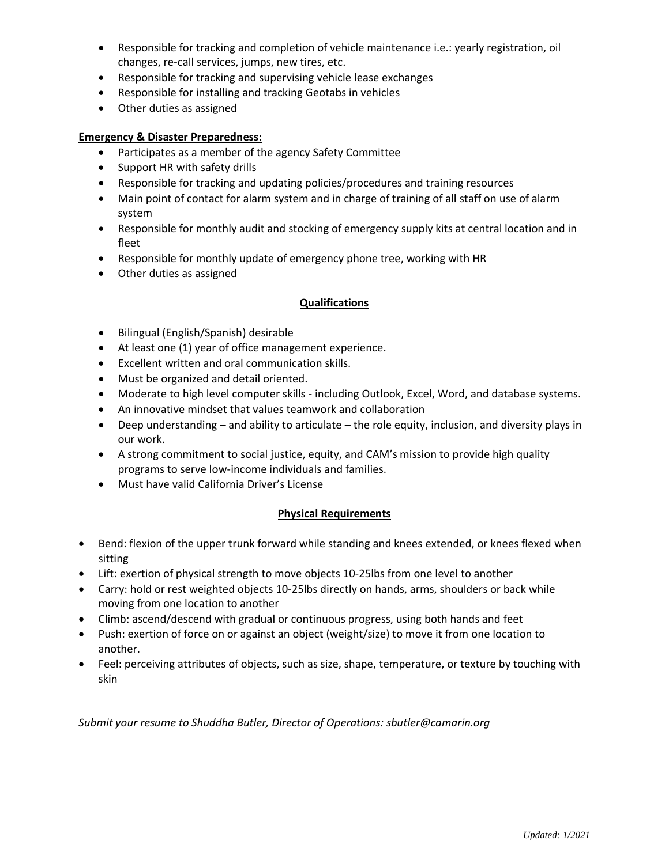- Responsible for tracking and completion of vehicle maintenance i.e.: yearly registration, oil changes, re-call services, jumps, new tires, etc.
- Responsible for tracking and supervising vehicle lease exchanges
- Responsible for installing and tracking Geotabs in vehicles
- Other duties as assigned

## **Emergency & Disaster Preparedness:**

- Participates as a member of the agency Safety Committee
- Support HR with safety drills
- Responsible for tracking and updating policies/procedures and training resources
- Main point of contact for alarm system and in charge of training of all staff on use of alarm system
- Responsible for monthly audit and stocking of emergency supply kits at central location and in fleet
- Responsible for monthly update of emergency phone tree, working with HR
- Other duties as assigned

# **Qualifications**

- Bilingual (English/Spanish) desirable
- At least one (1) year of office management experience.
- Excellent written and oral communication skills.
- Must be organized and detail oriented.
- Moderate to high level computer skills including Outlook, Excel, Word, and database systems.
- An innovative mindset that values teamwork and collaboration
- Deep understanding and ability to articulate the role equity, inclusion, and diversity plays in our work.
- A strong commitment to social justice, equity, and CAM's mission to provide high quality programs to serve low-income individuals and families.
- Must have valid California Driver's License

# **Physical Requirements**

- Bend: flexion of the upper trunk forward while standing and knees extended, or knees flexed when sitting
- Lift: exertion of physical strength to move objects 10-25lbs from one level to another
- Carry: hold or rest weighted objects 10-25lbs directly on hands, arms, shoulders or back while moving from one location to another
- Climb: ascend/descend with gradual or continuous progress, using both hands and feet
- Push: exertion of force on or against an object (weight/size) to move it from one location to another.
- Feel: perceiving attributes of objects, such as size, shape, temperature, or texture by touching with skin

*Submit your resume to Shuddha Butler, Director of Operations: sbutler@camarin.org*